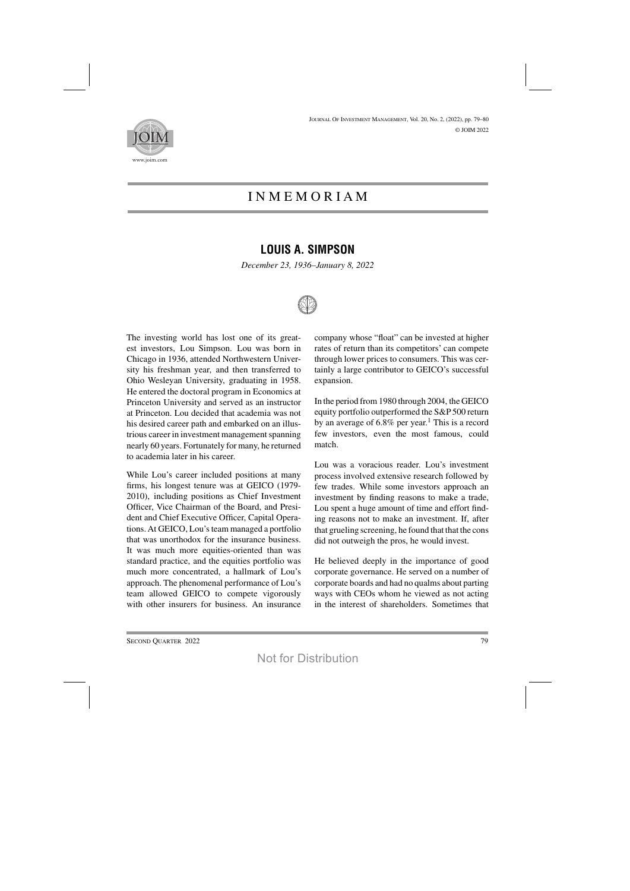

## INMEMORI A M

## **LOUIS A. SIMPSON**

*December 23, 1936–January 8, 2022*



The investing world has lost one of its greatest investors, Lou Simpson. Lou was born in Chicago in 1936, attended Northwestern University his freshman year, and then transferred to Ohio Wesleyan University, graduating in 1958. He entered the doctoral program in Economics at Princeton University and served as an instructor at Princeton. Lou decided that academia was not his desired career path and embarked on an illustrious career in investment management spanning nearly 60 years. Fortunately for many, he returned to academia later in his career.

While Lou's career included positions at many firms, his longest tenure was at GEICO (1979- 2010), including positions as Chief Investment Officer, Vice Chairman of the Board, and President and Chief Executive Officer, Capital Operations. At GEICO, Lou's team managed a portfolio that was unorthodox for the insurance business. It was much more equities-oriented than was standard practice, and the equities portfolio was much more concentrated, a hallmark of Lou's approach. The phenomenal performance of Lou's team allowed GEICO to compete vigorously with other insurers for business. An insurance company whose "float" can be invested at higher rates of return than its competitors' can compete through lower prices to consumers. This was certainly a large contributor to GEICO's successful expansion.

In the period from 1980 through 2004, the GEICO equity portfolio outperformed the S&P 500 return by an average of 6.8% per year.<sup>1</sup> This is a record few investors, even the most famous, could match.

Lou was a voracious reader. Lou's investment process involved extensive research followed by few trades. While some investors approach an investment by finding reasons to make a trade, Lou spent a huge amount of time and effort finding reasons not to make an investment. If, after that grueling screening, he found that that the cons did not outweigh the pros, he would invest.

He believed deeply in the importance of good corporate governance. He served on a number of corporate boards and had no qualms about parting ways with CEOs whom he viewed as not acting in the interest of shareholders. Sometimes that